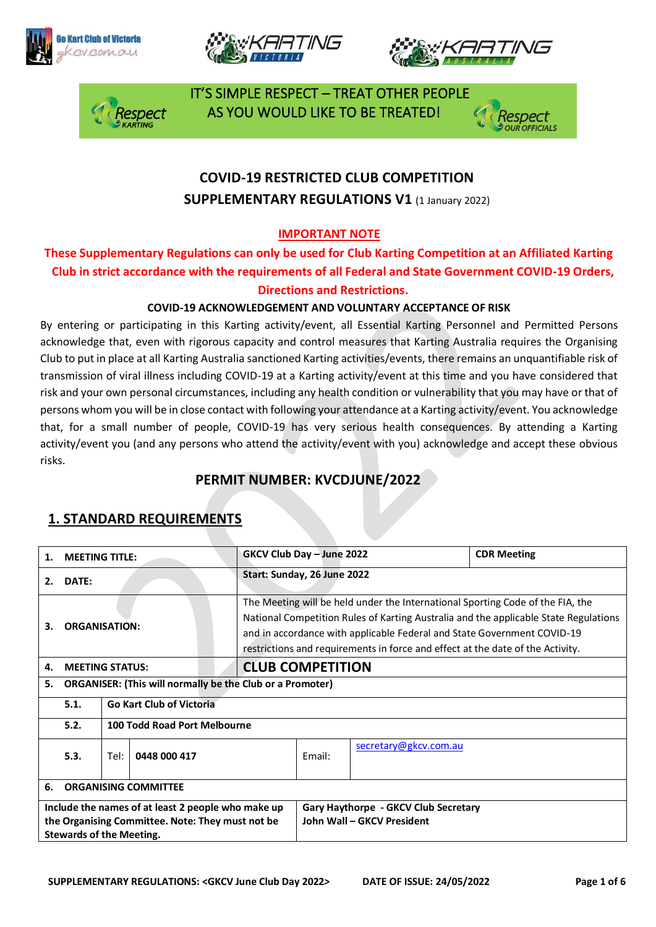







 IT'S SIMPLE RESPECT – TREAT OTHER PEOPLE AS YOU WOULD LIKE TO BE TREATED!



# **COVID-19 RESTRICTED CLUB COMPETITION SUPPLEMENTARY REGULATIONS V1 (1 January 2022)**

#### **IMPORTANT NOTE**

#### **These Supplementary Regulations can only be used for Club Karting Competition at an Affiliated Karting Club in strict accordance with the requirements of all Federal and State Government COVID-19 Orders, Directions and Restrictions.**

#### **COVID-19 ACKNOWLEDGEMENT AND VOLUNTARY ACCEPTANCE OF RISK**

By entering or participating in this Karting activity/event, all Essential Karting Personnel and Permitted Persons acknowledge that, even with rigorous capacity and control measures that Karting Australia requires the Organising Club to put in place at all Karting Australia sanctioned Karting activities/events, there remains an unquantifiable risk of transmission of viral illness including COVID-19 at a Karting activity/event at this time and you have considered that risk and your own personal circumstances, including any health condition or vulnerability that you may have or that of persons whom you will be in close contact with following your attendance at a Karting activity/event. You acknowledge that, for a small number of people, COVID-19 has very serious health consequences. By attending a Karting activity/event you (and any persons who attend the activity/event with you) acknowledge and accept these obvious risks.

## **PERMIT NUMBER: KVCDJUNE/2022**

## **1. STANDARD REQUIREMENTS**

| 1.                                | <b>MEETING TITLE:</b>                                                                                                                     |                                                                  |                                 | GKCV Club Day - June 2022                                                                                                                                                                                                                                                                                                           |                                                                    |                       | <b>CDR Meeting</b> |
|-----------------------------------|-------------------------------------------------------------------------------------------------------------------------------------------|------------------------------------------------------------------|---------------------------------|-------------------------------------------------------------------------------------------------------------------------------------------------------------------------------------------------------------------------------------------------------------------------------------------------------------------------------------|--------------------------------------------------------------------|-----------------------|--------------------|
| 2.                                | DATE:                                                                                                                                     |                                                                  |                                 | Start: Sunday, 26 June 2022                                                                                                                                                                                                                                                                                                         |                                                                    |                       |                    |
| З.                                | <b>ORGANISATION:</b>                                                                                                                      |                                                                  |                                 | The Meeting will be held under the International Sporting Code of the FIA, the<br>National Competition Rules of Karting Australia and the applicable State Regulations<br>and in accordance with applicable Federal and State Government COVID-19<br>restrictions and requirements in force and effect at the date of the Activity. |                                                                    |                       |                    |
| 4.                                | <b>MEETING STATUS:</b>                                                                                                                    |                                                                  |                                 | <b>CLUB COMPETITION</b>                                                                                                                                                                                                                                                                                                             |                                                                    |                       |                    |
| 5.                                |                                                                                                                                           | <b>ORGANISER: (This will normally be the Club or a Promoter)</b> |                                 |                                                                                                                                                                                                                                                                                                                                     |                                                                    |                       |                    |
|                                   | 5.1.                                                                                                                                      |                                                                  | <b>Go Kart Club of Victoria</b> |                                                                                                                                                                                                                                                                                                                                     |                                                                    |                       |                    |
|                                   | 5.2.                                                                                                                                      | 100 Todd Road Port Melbourne                                     |                                 |                                                                                                                                                                                                                                                                                                                                     |                                                                    |                       |                    |
|                                   | 5.3.                                                                                                                                      | 0448 000 417<br>Tel:                                             |                                 |                                                                                                                                                                                                                                                                                                                                     | Email:                                                             | secretary@gkcv.com.au |                    |
| <b>ORGANISING COMMITTEE</b><br>6. |                                                                                                                                           |                                                                  |                                 |                                                                                                                                                                                                                                                                                                                                     |                                                                    |                       |                    |
|                                   | Include the names of at least 2 people who make up<br>the Organising Committee. Note: They must not be<br><b>Stewards of the Meeting.</b> |                                                                  |                                 |                                                                                                                                                                                                                                                                                                                                     | Gary Haythorpe - GKCV Club Secretary<br>John Wall - GKCV President |                       |                    |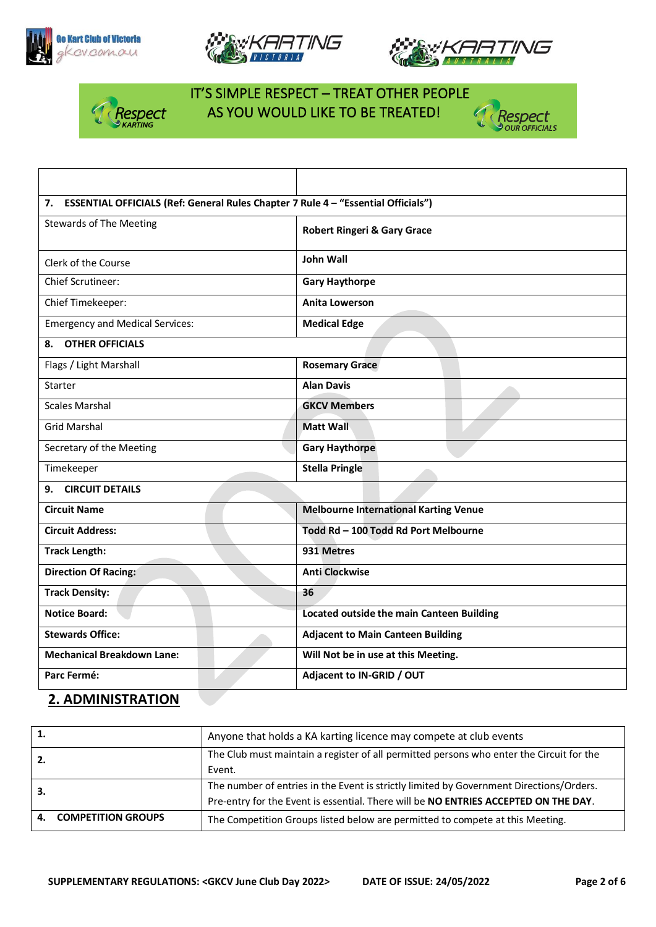





Respect



## IT'S SIMPLE RESPECT – TREAT OTHER PEOPLE AS YOU WOULD LIKE TO BE TREATED!



#### **2. ADMINISTRATION**

| 1.  |                              | Anyone that holds a KA karting licence may compete at club events                        |
|-----|------------------------------|------------------------------------------------------------------------------------------|
| 2.  |                              | The Club must maintain a register of all permitted persons who enter the Circuit for the |
|     |                              | Event.                                                                                   |
| -3. |                              | The number of entries in the Event is strictly limited by Government Directions/Orders.  |
|     |                              | Pre-entry for the Event is essential. There will be NO ENTRIES ACCEPTED ON THE DAY.      |
|     | <b>4. COMPETITION GROUPS</b> | The Competition Groups listed below are permitted to compete at this Meeting.            |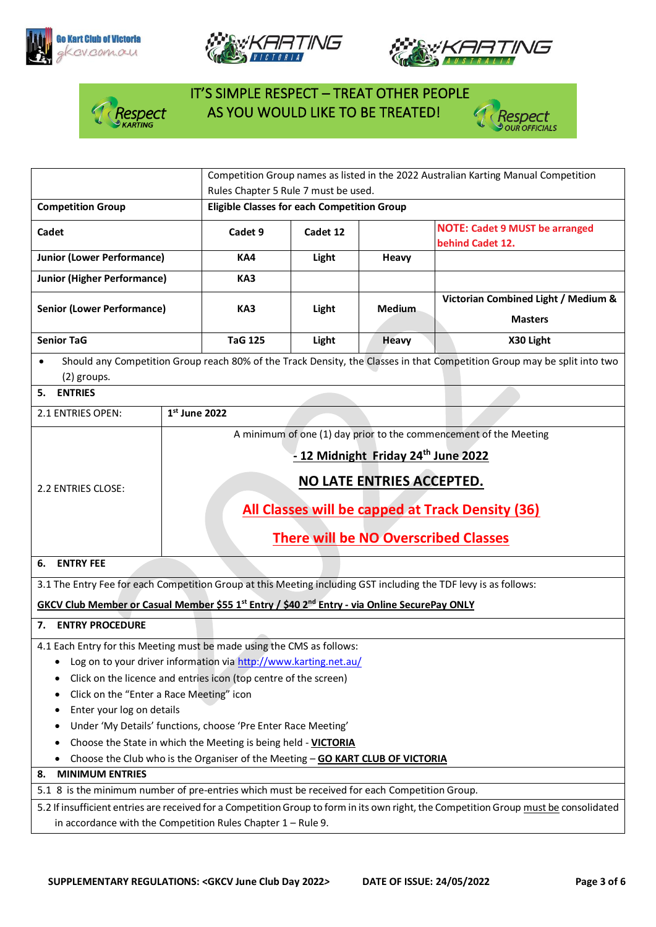







# IT'S SIMPLE RESPECT – TREAT OTHER PEOPLE Respect AS YOU WOULD LIKE TO BE TREATED!



|                                                                                                                                                                                                                                                                                                                                                                                                                                                                                                                   | Competition Group names as listed in the 2022 Australian Karting Manual Competition                                      |                                                                                                                                                                                 |          |               |                                                                   |  |
|-------------------------------------------------------------------------------------------------------------------------------------------------------------------------------------------------------------------------------------------------------------------------------------------------------------------------------------------------------------------------------------------------------------------------------------------------------------------------------------------------------------------|--------------------------------------------------------------------------------------------------------------------------|---------------------------------------------------------------------------------------------------------------------------------------------------------------------------------|----------|---------------|-------------------------------------------------------------------|--|
|                                                                                                                                                                                                                                                                                                                                                                                                                                                                                                                   |                                                                                                                          | Rules Chapter 5 Rule 7 must be used.                                                                                                                                            |          |               |                                                                   |  |
| <b>Competition Group</b>                                                                                                                                                                                                                                                                                                                                                                                                                                                                                          |                                                                                                                          | <b>Eligible Classes for each Competition Group</b>                                                                                                                              |          |               |                                                                   |  |
| Cadet                                                                                                                                                                                                                                                                                                                                                                                                                                                                                                             |                                                                                                                          | Cadet 9                                                                                                                                                                         | Cadet 12 |               | <b>NOTE: Cadet 9 MUST be arranged</b><br>behind Cadet 12.         |  |
| <b>Junior (Lower Performance)</b>                                                                                                                                                                                                                                                                                                                                                                                                                                                                                 |                                                                                                                          | KA4                                                                                                                                                                             | Light    | Heavy         |                                                                   |  |
| <b>Junior (Higher Performance)</b>                                                                                                                                                                                                                                                                                                                                                                                                                                                                                |                                                                                                                          | KA3                                                                                                                                                                             |          |               |                                                                   |  |
| <b>Senior (Lower Performance)</b>                                                                                                                                                                                                                                                                                                                                                                                                                                                                                 |                                                                                                                          | KA3                                                                                                                                                                             | Light    | <b>Medium</b> | Victorian Combined Light / Medium &<br><b>Masters</b>             |  |
| <b>Senior TaG</b>                                                                                                                                                                                                                                                                                                                                                                                                                                                                                                 |                                                                                                                          | <b>TaG 125</b>                                                                                                                                                                  | Light    | <b>Heavy</b>  | X30 Light                                                         |  |
| (2) groups.<br>5. ENTRIES                                                                                                                                                                                                                                                                                                                                                                                                                                                                                         | Should any Competition Group reach 80% of the Track Density, the Classes in that Competition Group may be split into two |                                                                                                                                                                                 |          |               |                                                                   |  |
|                                                                                                                                                                                                                                                                                                                                                                                                                                                                                                                   |                                                                                                                          |                                                                                                                                                                                 |          |               |                                                                   |  |
| 2.1 ENTRIES OPEN:                                                                                                                                                                                                                                                                                                                                                                                                                                                                                                 | $1st$ June 2022                                                                                                          |                                                                                                                                                                                 |          |               | A minimum of one (1) day prior to the commencement of the Meeting |  |
| 2.2 ENTRIES CLOSE:                                                                                                                                                                                                                                                                                                                                                                                                                                                                                                |                                                                                                                          | - 12 Midnight Friday 24 <sup>th</sup> June 2022<br>NO LATE ENTRIES ACCEPTED.<br>All Classes will be capped at Track Density (36)<br><b>There will be NO Overscribed Classes</b> |          |               |                                                                   |  |
| 6.<br><b>ENTRY FEE</b>                                                                                                                                                                                                                                                                                                                                                                                                                                                                                            |                                                                                                                          |                                                                                                                                                                                 |          |               |                                                                   |  |
| 3.1 The Entry Fee for each Competition Group at this Meeting including GST including the TDF levy is as follows:                                                                                                                                                                                                                                                                                                                                                                                                  |                                                                                                                          |                                                                                                                                                                                 |          |               |                                                                   |  |
| GKCV Club Member or Casual Member \$55 1 <sup>st</sup> Entry / \$40 2 <sup>nd</sup> Entry - via Online SecurePay ONLY                                                                                                                                                                                                                                                                                                                                                                                             |                                                                                                                          |                                                                                                                                                                                 |          |               |                                                                   |  |
| 7. ENTRY PROCEDURE                                                                                                                                                                                                                                                                                                                                                                                                                                                                                                |                                                                                                                          |                                                                                                                                                                                 |          |               |                                                                   |  |
| 4.1 Each Entry for this Meeting must be made using the CMS as follows:<br>Log on to your driver information via http://www.karting.net.au/<br>Click on the licence and entries icon (top centre of the screen)<br>Click on the "Enter a Race Meeting" icon<br>Enter your log on details<br>Under 'My Details' functions, choose 'Pre Enter Race Meeting'<br>Choose the State in which the Meeting is being held - VICTORIA<br>Choose the Club who is the Organiser of the Meeting - GO KART CLUB OF VICTORIA<br>٠ |                                                                                                                          |                                                                                                                                                                                 |          |               |                                                                   |  |
| <b>MINIMUM ENTRIES</b><br>8.                                                                                                                                                                                                                                                                                                                                                                                                                                                                                      |                                                                                                                          |                                                                                                                                                                                 |          |               |                                                                   |  |
| 5.1 8 is the minimum number of pre-entries which must be received for each Competition Group.                                                                                                                                                                                                                                                                                                                                                                                                                     |                                                                                                                          |                                                                                                                                                                                 |          |               |                                                                   |  |
| 5.2 If insufficient entries are received for a Competition Group to form in its own right, the Competition Group must be consolidated<br>in accordance with the Competition Rules Chapter $1 -$ Rule 9.                                                                                                                                                                                                                                                                                                           |                                                                                                                          |                                                                                                                                                                                 |          |               |                                                                   |  |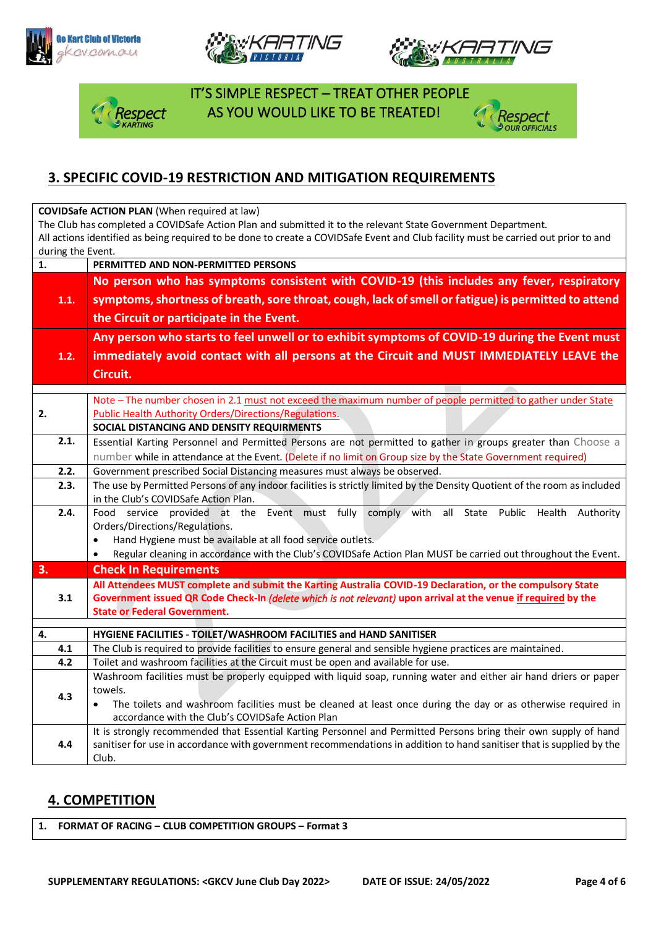







 IT'S SIMPLE RESPECT – TREAT OTHER PEOPLE spect AS YOU WOULD LIKE TO BE TREATED!



### **3. SPECIFIC COVID-19 RESTRICTION AND MITIGATION REQUIREMENTS**

**COVIDSafe ACTION PLAN** (When required at law)

The Club has completed a COVIDSafe Action Plan and submitted it to the relevant State Government Department. All actions identified as being required to be done to create a COVIDSafe Event and Club facility must be carried out prior to and during the Event.

| $\mathbf{1}$ .                                                                                             | PERMITTED AND NON-PERMITTED PERSONS                                                                                                                                                                                           |  |  |  |  |  |
|------------------------------------------------------------------------------------------------------------|-------------------------------------------------------------------------------------------------------------------------------------------------------------------------------------------------------------------------------|--|--|--|--|--|
|                                                                                                            | No person who has symptoms consistent with COVID-19 (this includes any fever, respiratory<br>symptoms, shortness of breath, sore throat, cough, lack of smell or fatigue) is permitted to attend                              |  |  |  |  |  |
| 1.1.                                                                                                       |                                                                                                                                                                                                                               |  |  |  |  |  |
|                                                                                                            |                                                                                                                                                                                                                               |  |  |  |  |  |
|                                                                                                            | the Circuit or participate in the Event.                                                                                                                                                                                      |  |  |  |  |  |
|                                                                                                            | Any person who starts to feel unwell or to exhibit symptoms of COVID-19 during the Event must                                                                                                                                 |  |  |  |  |  |
| 1.2.                                                                                                       | immediately avoid contact with all persons at the Circuit and MUST IMMEDIATELY LEAVE the                                                                                                                                      |  |  |  |  |  |
|                                                                                                            | Circuit.                                                                                                                                                                                                                      |  |  |  |  |  |
|                                                                                                            |                                                                                                                                                                                                                               |  |  |  |  |  |
|                                                                                                            | Note - The number chosen in 2.1 must not exceed the maximum number of people permitted to gather under State                                                                                                                  |  |  |  |  |  |
| 2.                                                                                                         | <b>Public Health Authority Orders/Directions/Regulations.</b>                                                                                                                                                                 |  |  |  |  |  |
|                                                                                                            | SOCIAL DISTANCING AND DENSITY REQUIRMENTS                                                                                                                                                                                     |  |  |  |  |  |
| 2.1.                                                                                                       | Essential Karting Personnel and Permitted Persons are not permitted to gather in groups greater than Choose a<br>number while in attendance at the Event. (Delete if no limit on Group size by the State Government required) |  |  |  |  |  |
|                                                                                                            |                                                                                                                                                                                                                               |  |  |  |  |  |
| 2.2.                                                                                                       | Government prescribed Social Distancing measures must always be observed.                                                                                                                                                     |  |  |  |  |  |
| 2.3.                                                                                                       | The use by Permitted Persons of any indoor facilities is strictly limited by the Density Quotient of the room as included                                                                                                     |  |  |  |  |  |
|                                                                                                            | in the Club's COVIDSafe Action Plan.                                                                                                                                                                                          |  |  |  |  |  |
| 2.4.                                                                                                       | Food service provided at the Event must fully comply with all State Public Health<br>Authority                                                                                                                                |  |  |  |  |  |
|                                                                                                            | Orders/Directions/Regulations.                                                                                                                                                                                                |  |  |  |  |  |
|                                                                                                            | Hand Hygiene must be available at all food service outlets.<br>$\bullet$                                                                                                                                                      |  |  |  |  |  |
|                                                                                                            | Regular cleaning in accordance with the Club's COVIDSafe Action Plan MUST be carried out throughout the Event.<br>$\bullet$                                                                                                   |  |  |  |  |  |
| 3.                                                                                                         | <b>Check In Requirements</b>                                                                                                                                                                                                  |  |  |  |  |  |
| All Attendees MUST complete and submit the Karting Australia COVID-19 Declaration, or the compulsory State |                                                                                                                                                                                                                               |  |  |  |  |  |
| 3.1                                                                                                        | Government issued QR Code Check-In (delete which is not relevant) upon arrival at the venue if required by the                                                                                                                |  |  |  |  |  |
|                                                                                                            | <b>State or Federal Government.</b>                                                                                                                                                                                           |  |  |  |  |  |
| 4.                                                                                                         | HYGIENE FACILITIES - TOILET/WASHROOM FACILITIES and HAND SANITISER                                                                                                                                                            |  |  |  |  |  |
| 4.1                                                                                                        | The Club is required to provide facilities to ensure general and sensible hygiene practices are maintained.                                                                                                                   |  |  |  |  |  |
| 4.2                                                                                                        | Toilet and washroom facilities at the Circuit must be open and available for use.                                                                                                                                             |  |  |  |  |  |
|                                                                                                            | Washroom facilities must be properly equipped with liquid soap, running water and either air hand driers or paper                                                                                                             |  |  |  |  |  |
| 4.3                                                                                                        | towels.                                                                                                                                                                                                                       |  |  |  |  |  |
|                                                                                                            | The toilets and washroom facilities must be cleaned at least once during the day or as otherwise required in<br>$\bullet$                                                                                                     |  |  |  |  |  |
|                                                                                                            | accordance with the Club's COVIDSafe Action Plan                                                                                                                                                                              |  |  |  |  |  |
|                                                                                                            | It is strongly recommended that Essential Karting Personnel and Permitted Persons bring their own supply of hand                                                                                                              |  |  |  |  |  |
| 4.4                                                                                                        | sanitiser for use in accordance with government recommendations in addition to hand sanitiser that is supplied by the                                                                                                         |  |  |  |  |  |
|                                                                                                            | Club.                                                                                                                                                                                                                         |  |  |  |  |  |

#### **4. COMPETITION**

**1. FORMAT OF RACING – CLUB COMPETITION GROUPS – Format 3**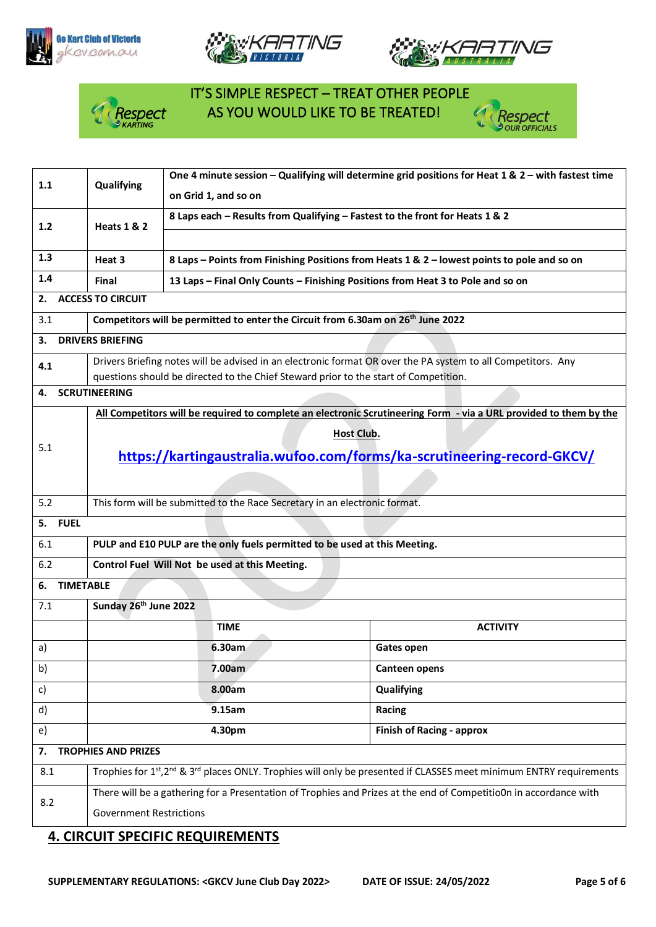





# IT'S SIMPLE RESPECT – TREAT OTHER PEOPLE *Respect* AS YOU WOULD LIKE TO BE TREATED!<br><sup>N KARTING</sup>



| on Grid 1, and so on<br>8 Laps each - Results from Qualifying - Fastest to the front for Heats 1 & 2<br>1.2<br><b>Heats 1 &amp; 2</b><br>1.3<br>Heat 3<br>8 Laps - Points from Finishing Positions from Heats 1 & 2 - lowest points to pole and so on<br>1.4<br>13 Laps - Final Only Counts - Finishing Positions from Heat 3 to Pole and so on<br>Final<br><b>ACCESS TO CIRCUIT</b><br>2.<br>Competitors will be permitted to enter the Circuit from 6.30am on 26 <sup>th</sup> June 2022<br>3.1<br><b>DRIVERS BRIEFING</b><br>З.<br>Drivers Briefing notes will be advised in an electronic format OR over the PA system to all Competitors. Any<br>4.1<br>questions should be directed to the Chief Steward prior to the start of Competition.<br><b>SCRUTINEERING</b><br>4.<br>All Competitors will be required to complete an electronic Scrutineering Form - via a URL provided to them by the<br><b>Host Club.</b><br>5.1<br>https://kartingaustralia.wufoo.com/forms/ka-scrutineering-record-GKCV/<br>This form will be submitted to the Race Secretary in an electronic format.<br>5.2<br><b>FUEL</b><br>5.<br>PULP and E10 PULP are the only fuels permitted to be used at this Meeting.<br>6.1<br>6.2<br>Control Fuel Will Not be used at this Meeting.<br><b>TIMETABLE</b><br>6.<br>Sunday 26 <sup>th</sup> June 2022<br>7.1<br><b>TIME</b><br><b>ACTIVITY</b><br>6.30am<br>Gates open<br>a)<br>7.00am<br>b)<br><b>Canteen opens</b><br>8.00am<br>Qualifying<br>c)<br>9.15am<br>d)<br>Racing<br>4.30pm<br><b>Finish of Racing - approx</b><br>e)<br><b>TROPHIES AND PRIZES</b><br>7.<br>Trophies for 1st, 2 <sup>nd</sup> & 3 <sup>rd</sup> places ONLY. Trophies will only be presented if CLASSES meet minimum ENTRY requirements<br>8.1<br>There will be a gathering for a Presentation of Trophies and Prizes at the end of Competitio0n in accordance with<br>8.2<br><b>Government Restrictions</b> | 1.1 | Qualifying | One 4 minute session - Qualifying will determine grid positions for Heat 1 & $2$ - with fastest time |  |  |  |  |
|----------------------------------------------------------------------------------------------------------------------------------------------------------------------------------------------------------------------------------------------------------------------------------------------------------------------------------------------------------------------------------------------------------------------------------------------------------------------------------------------------------------------------------------------------------------------------------------------------------------------------------------------------------------------------------------------------------------------------------------------------------------------------------------------------------------------------------------------------------------------------------------------------------------------------------------------------------------------------------------------------------------------------------------------------------------------------------------------------------------------------------------------------------------------------------------------------------------------------------------------------------------------------------------------------------------------------------------------------------------------------------------------------------------------------------------------------------------------------------------------------------------------------------------------------------------------------------------------------------------------------------------------------------------------------------------------------------------------------------------------------------------------------------------------------------------------------------------------------------------------------------------------------------------------|-----|------------|------------------------------------------------------------------------------------------------------|--|--|--|--|
|                                                                                                                                                                                                                                                                                                                                                                                                                                                                                                                                                                                                                                                                                                                                                                                                                                                                                                                                                                                                                                                                                                                                                                                                                                                                                                                                                                                                                                                                                                                                                                                                                                                                                                                                                                                                                                                                                                                      |     |            |                                                                                                      |  |  |  |  |
|                                                                                                                                                                                                                                                                                                                                                                                                                                                                                                                                                                                                                                                                                                                                                                                                                                                                                                                                                                                                                                                                                                                                                                                                                                                                                                                                                                                                                                                                                                                                                                                                                                                                                                                                                                                                                                                                                                                      |     |            |                                                                                                      |  |  |  |  |
|                                                                                                                                                                                                                                                                                                                                                                                                                                                                                                                                                                                                                                                                                                                                                                                                                                                                                                                                                                                                                                                                                                                                                                                                                                                                                                                                                                                                                                                                                                                                                                                                                                                                                                                                                                                                                                                                                                                      |     |            |                                                                                                      |  |  |  |  |
|                                                                                                                                                                                                                                                                                                                                                                                                                                                                                                                                                                                                                                                                                                                                                                                                                                                                                                                                                                                                                                                                                                                                                                                                                                                                                                                                                                                                                                                                                                                                                                                                                                                                                                                                                                                                                                                                                                                      |     |            |                                                                                                      |  |  |  |  |
|                                                                                                                                                                                                                                                                                                                                                                                                                                                                                                                                                                                                                                                                                                                                                                                                                                                                                                                                                                                                                                                                                                                                                                                                                                                                                                                                                                                                                                                                                                                                                                                                                                                                                                                                                                                                                                                                                                                      |     |            |                                                                                                      |  |  |  |  |
|                                                                                                                                                                                                                                                                                                                                                                                                                                                                                                                                                                                                                                                                                                                                                                                                                                                                                                                                                                                                                                                                                                                                                                                                                                                                                                                                                                                                                                                                                                                                                                                                                                                                                                                                                                                                                                                                                                                      |     |            |                                                                                                      |  |  |  |  |
|                                                                                                                                                                                                                                                                                                                                                                                                                                                                                                                                                                                                                                                                                                                                                                                                                                                                                                                                                                                                                                                                                                                                                                                                                                                                                                                                                                                                                                                                                                                                                                                                                                                                                                                                                                                                                                                                                                                      |     |            |                                                                                                      |  |  |  |  |
|                                                                                                                                                                                                                                                                                                                                                                                                                                                                                                                                                                                                                                                                                                                                                                                                                                                                                                                                                                                                                                                                                                                                                                                                                                                                                                                                                                                                                                                                                                                                                                                                                                                                                                                                                                                                                                                                                                                      |     |            |                                                                                                      |  |  |  |  |
|                                                                                                                                                                                                                                                                                                                                                                                                                                                                                                                                                                                                                                                                                                                                                                                                                                                                                                                                                                                                                                                                                                                                                                                                                                                                                                                                                                                                                                                                                                                                                                                                                                                                                                                                                                                                                                                                                                                      |     |            |                                                                                                      |  |  |  |  |
|                                                                                                                                                                                                                                                                                                                                                                                                                                                                                                                                                                                                                                                                                                                                                                                                                                                                                                                                                                                                                                                                                                                                                                                                                                                                                                                                                                                                                                                                                                                                                                                                                                                                                                                                                                                                                                                                                                                      |     |            |                                                                                                      |  |  |  |  |
|                                                                                                                                                                                                                                                                                                                                                                                                                                                                                                                                                                                                                                                                                                                                                                                                                                                                                                                                                                                                                                                                                                                                                                                                                                                                                                                                                                                                                                                                                                                                                                                                                                                                                                                                                                                                                                                                                                                      |     |            |                                                                                                      |  |  |  |  |
|                                                                                                                                                                                                                                                                                                                                                                                                                                                                                                                                                                                                                                                                                                                                                                                                                                                                                                                                                                                                                                                                                                                                                                                                                                                                                                                                                                                                                                                                                                                                                                                                                                                                                                                                                                                                                                                                                                                      |     |            |                                                                                                      |  |  |  |  |
|                                                                                                                                                                                                                                                                                                                                                                                                                                                                                                                                                                                                                                                                                                                                                                                                                                                                                                                                                                                                                                                                                                                                                                                                                                                                                                                                                                                                                                                                                                                                                                                                                                                                                                                                                                                                                                                                                                                      |     |            |                                                                                                      |  |  |  |  |
|                                                                                                                                                                                                                                                                                                                                                                                                                                                                                                                                                                                                                                                                                                                                                                                                                                                                                                                                                                                                                                                                                                                                                                                                                                                                                                                                                                                                                                                                                                                                                                                                                                                                                                                                                                                                                                                                                                                      |     |            |                                                                                                      |  |  |  |  |
|                                                                                                                                                                                                                                                                                                                                                                                                                                                                                                                                                                                                                                                                                                                                                                                                                                                                                                                                                                                                                                                                                                                                                                                                                                                                                                                                                                                                                                                                                                                                                                                                                                                                                                                                                                                                                                                                                                                      |     |            |                                                                                                      |  |  |  |  |
|                                                                                                                                                                                                                                                                                                                                                                                                                                                                                                                                                                                                                                                                                                                                                                                                                                                                                                                                                                                                                                                                                                                                                                                                                                                                                                                                                                                                                                                                                                                                                                                                                                                                                                                                                                                                                                                                                                                      |     |            |                                                                                                      |  |  |  |  |
|                                                                                                                                                                                                                                                                                                                                                                                                                                                                                                                                                                                                                                                                                                                                                                                                                                                                                                                                                                                                                                                                                                                                                                                                                                                                                                                                                                                                                                                                                                                                                                                                                                                                                                                                                                                                                                                                                                                      |     |            |                                                                                                      |  |  |  |  |
|                                                                                                                                                                                                                                                                                                                                                                                                                                                                                                                                                                                                                                                                                                                                                                                                                                                                                                                                                                                                                                                                                                                                                                                                                                                                                                                                                                                                                                                                                                                                                                                                                                                                                                                                                                                                                                                                                                                      |     |            |                                                                                                      |  |  |  |  |
|                                                                                                                                                                                                                                                                                                                                                                                                                                                                                                                                                                                                                                                                                                                                                                                                                                                                                                                                                                                                                                                                                                                                                                                                                                                                                                                                                                                                                                                                                                                                                                                                                                                                                                                                                                                                                                                                                                                      |     |            |                                                                                                      |  |  |  |  |
|                                                                                                                                                                                                                                                                                                                                                                                                                                                                                                                                                                                                                                                                                                                                                                                                                                                                                                                                                                                                                                                                                                                                                                                                                                                                                                                                                                                                                                                                                                                                                                                                                                                                                                                                                                                                                                                                                                                      |     |            |                                                                                                      |  |  |  |  |
|                                                                                                                                                                                                                                                                                                                                                                                                                                                                                                                                                                                                                                                                                                                                                                                                                                                                                                                                                                                                                                                                                                                                                                                                                                                                                                                                                                                                                                                                                                                                                                                                                                                                                                                                                                                                                                                                                                                      |     |            |                                                                                                      |  |  |  |  |
|                                                                                                                                                                                                                                                                                                                                                                                                                                                                                                                                                                                                                                                                                                                                                                                                                                                                                                                                                                                                                                                                                                                                                                                                                                                                                                                                                                                                                                                                                                                                                                                                                                                                                                                                                                                                                                                                                                                      |     |            |                                                                                                      |  |  |  |  |
|                                                                                                                                                                                                                                                                                                                                                                                                                                                                                                                                                                                                                                                                                                                                                                                                                                                                                                                                                                                                                                                                                                                                                                                                                                                                                                                                                                                                                                                                                                                                                                                                                                                                                                                                                                                                                                                                                                                      |     |            |                                                                                                      |  |  |  |  |
|                                                                                                                                                                                                                                                                                                                                                                                                                                                                                                                                                                                                                                                                                                                                                                                                                                                                                                                                                                                                                                                                                                                                                                                                                                                                                                                                                                                                                                                                                                                                                                                                                                                                                                                                                                                                                                                                                                                      |     |            |                                                                                                      |  |  |  |  |
|                                                                                                                                                                                                                                                                                                                                                                                                                                                                                                                                                                                                                                                                                                                                                                                                                                                                                                                                                                                                                                                                                                                                                                                                                                                                                                                                                                                                                                                                                                                                                                                                                                                                                                                                                                                                                                                                                                                      |     |            |                                                                                                      |  |  |  |  |
|                                                                                                                                                                                                                                                                                                                                                                                                                                                                                                                                                                                                                                                                                                                                                                                                                                                                                                                                                                                                                                                                                                                                                                                                                                                                                                                                                                                                                                                                                                                                                                                                                                                                                                                                                                                                                                                                                                                      |     |            |                                                                                                      |  |  |  |  |
|                                                                                                                                                                                                                                                                                                                                                                                                                                                                                                                                                                                                                                                                                                                                                                                                                                                                                                                                                                                                                                                                                                                                                                                                                                                                                                                                                                                                                                                                                                                                                                                                                                                                                                                                                                                                                                                                                                                      |     |            |                                                                                                      |  |  |  |  |
|                                                                                                                                                                                                                                                                                                                                                                                                                                                                                                                                                                                                                                                                                                                                                                                                                                                                                                                                                                                                                                                                                                                                                                                                                                                                                                                                                                                                                                                                                                                                                                                                                                                                                                                                                                                                                                                                                                                      |     |            |                                                                                                      |  |  |  |  |
|                                                                                                                                                                                                                                                                                                                                                                                                                                                                                                                                                                                                                                                                                                                                                                                                                                                                                                                                                                                                                                                                                                                                                                                                                                                                                                                                                                                                                                                                                                                                                                                                                                                                                                                                                                                                                                                                                                                      |     |            |                                                                                                      |  |  |  |  |
|                                                                                                                                                                                                                                                                                                                                                                                                                                                                                                                                                                                                                                                                                                                                                                                                                                                                                                                                                                                                                                                                                                                                                                                                                                                                                                                                                                                                                                                                                                                                                                                                                                                                                                                                                                                                                                                                                                                      |     |            |                                                                                                      |  |  |  |  |
|                                                                                                                                                                                                                                                                                                                                                                                                                                                                                                                                                                                                                                                                                                                                                                                                                                                                                                                                                                                                                                                                                                                                                                                                                                                                                                                                                                                                                                                                                                                                                                                                                                                                                                                                                                                                                                                                                                                      |     |            |                                                                                                      |  |  |  |  |

## **4. CIRCUIT SPECIFIC REQUIREMENTS**